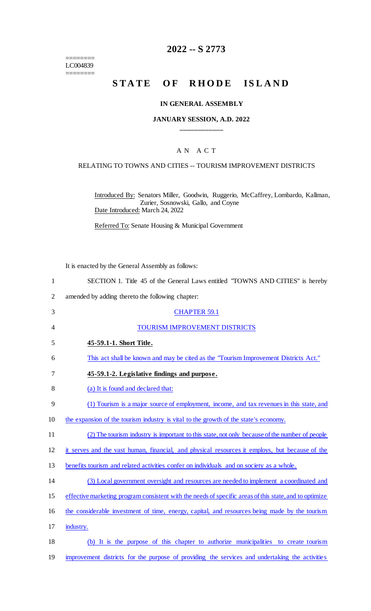$=$ LC004839 ========

# **2022 -- S 2773**

# **STATE OF RHODE ISLAND**

#### **IN GENERAL ASSEMBLY**

#### **JANUARY SESSION, A.D. 2022 \_\_\_\_\_\_\_\_\_\_\_\_**

## A N A C T

#### RELATING TO TOWNS AND CITIES -- TOURISM IMPROVEMENT DISTRICTS

Introduced By: Senators Miller, Goodwin, Ruggerio, McCaffrey, Lombardo, Kallman, Zurier, Sosnowski, Gallo, and Coyne Date Introduced: March 24, 2022

Referred To: Senate Housing & Municipal Government

It is enacted by the General Assembly as follows:

- 1 SECTION 1. Title 45 of the General Laws entitled "TOWNS AND CITIES" is hereby
- 2 amended by adding thereto the following chapter:

| 3              | <b>CHAPTER 59.1</b>                                                                                    |
|----------------|--------------------------------------------------------------------------------------------------------|
| $\overline{4}$ | TOURISM IMPROVEMENT DISTRICTS                                                                          |
| 5              | 45-59.1-1. Short Title.                                                                                |
| 6              | This act shall be known and may be cited as the "Tourism Improvement Districts Act."                   |
| 7              | 45-59.1-2. Legislative findings and purpose.                                                           |
| 8              | (a) It is found and declared that:                                                                     |
| 9              | (1) Tourism is a major source of employment, income, and tax revenues in this state, and               |
| 10             | the expansion of the tourism industry is vital to the growth of the state's economy.                   |
| 11             | (2) The tourism industry is important to this state, not only because of the number of people          |
| 12             | it serves and the vast human, financial, and physical resources it employs, but because of the         |
| 13             | benefits tourism and related activities confer on individuals and on society as a whole.               |
| 14             | (3) Local government oversight and resources are needed to implement a coordinated and                 |
| 15             | effective marketing program consistent with the needs of specific areas of this state, and to optimize |
| 16             | the considerable investment of time, energy, capital, and resources being made by the tourism          |
| 17             | industry.                                                                                              |
| 18             | (b) It is the purpose of this chapter to authorize municipalities to create tourism                    |
| 19             | improvement districts for the purpose of providing the services and undertaking the activities         |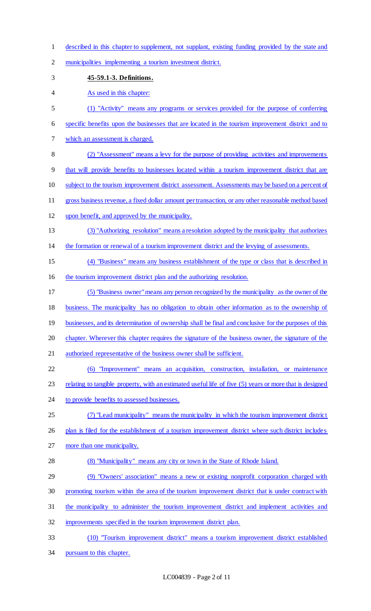- described in this chapter to supplement, not supplant, existing funding provided by the state and
- municipalities implementing a tourism investment district.
- **45-59.1-3. Definitions.**
- 4 As used in this chapter:
- (1) "Activity" means any programs or services provided for the purpose of conferring
- specific benefits upon the businesses that are located in the tourism improvement district and to
- which an assessment is charged.
- (2) "Assessment" means a levy for the purpose of providing activities and improvements
- that will provide benefits to businesses located within a tourism improvement district that are
- 10 subject to the tourism improvement district assessment. Assessments may be based on a percent of
- gross business revenue, a fixed dollar amount per transaction, or any other reasonable method based
- upon benefit, and approved by the municipality.
- (3) "Authorizing resolution" means a resolution adopted by the municipality that authorizes
- the formation or renewal of a tourism improvement district and the levying of assessments.
- (4) "Business" means any business establishment of the type or class that is described in
- the tourism improvement district plan and the authorizing resolution.
- (5) "Business owner"means any person recognized by the municipality as the owner of the
- business. The municipality has no obligation to obtain other information as to the ownership of
- 19 businesses, and its determination of ownership shall be final and conclusive for the purposes of this
- chapter. Wherever this chapter requires the signature of the business owner, the signature of the
- 21 authorized representative of the business owner shall be sufficient.
- (6) "Improvement" means an acquisition, construction, installation, or maintenance
- 23 relating to tangible property, with an estimated useful life of five (5) years or more that is designed
- 24 to provide benefits to assessed businesses.
- (7) "Lead municipality" means the municipality in which the tourism improvement district
- 26 plan is filed for the establishment of a tourism improvement district where such district includes
- more than one municipality.
- (8) "Municipality" means any city or town in the State of Rhode Island.
- (9) "Owners' association" means a new or existing nonprofit corporation charged with
- promoting tourism within the area of the tourism improvement district that is under contract with
- the municipality to administer the tourism improvement district and implement activities and
- improvements specified in the tourism improvement district plan.
- (10) "Tourism improvement district" means a tourism improvement district established
- pursuant to this chapter.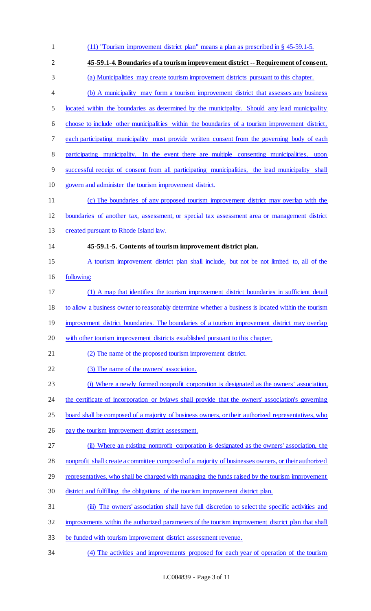| $\mathbf{1}$   | $(11)$ "Tourism improvement district plan" means a plan as prescribed in § 45-59.1-5.               |
|----------------|-----------------------------------------------------------------------------------------------------|
| $\overline{2}$ | 45-59.1-4. Boundaries of a tourism improvement district -- Requirement of consent.                  |
| 3              | (a) Municipalities may create tourism improvement districts pursuant to this chapter.               |
| $\overline{4}$ | (b) A municipality may form a tourism improvement district that assesses any business               |
| 5              | located within the boundaries as determined by the municipality. Should any lead municipality       |
| 6              | choose to include other municipalities within the boundaries of a tourism improvement district,     |
| 7              | each participating municipality must provide written consent from the governing body of each        |
| 8              | participating municipality. In the event there are multiple consenting municipalities,<br>upon      |
| 9              | successful receipt of consent from all participating municipalities, the lead municipality shall    |
| 10             | govern and administer the tourism improvement district.                                             |
| 11             | (c) The boundaries of any proposed tourism improvement district may overlap with the                |
| 12             | boundaries of another tax, assessment, or special tax assessment area or management district        |
| 13             | created pursuant to Rhode Island law.                                                               |
| 14             | 45-59.1-5. Contents of tourism improvement district plan.                                           |
| 15             | A tourism improvement district plan shall include, but not be not limited to, all of the            |
| 16             | following:                                                                                          |
| 17             | (1) A map that identifies the tourism improvement district boundaries in sufficient detail          |
| 18             | to allow a business owner to reasonably determine whether a business is located within the tourism  |
| 19             | improvement district boundaries. The boundaries of a tourism improvement district may overlap       |
| 20             | with other tourism improvement districts established pursuant to this chapter.                      |
| 21             | (2) The name of the proposed tourism improvement district.                                          |
| 22             | (3) The name of the owners' association.                                                            |
| 23             | (i) Where a newly formed nonprofit corporation is designated as the owners' association,            |
| 24             | the certificate of incorporation or bylaws shall provide that the owners' association's governing   |
| 25             | board shall be composed of a majority of business owners, or their authorized representatives, who  |
| 26             | pay the tourism improvement district assessment.                                                    |
| 27             | (ii) Where an existing nonprofit corporation is designated as the owners' association, the          |
| 28             | nonprofit shall create a committee composed of a majority of businesses owners, or their authorized |
| 29             | representatives, who shall be charged with managing the funds raised by the tourism improvement     |
| 30             | district and fulfilling the obligations of the tourism improvement district plan.                   |
| 31             | (iii) The owners' association shall have full discretion to select the specific activities and      |
| 32             | improvements within the authorized parameters of the tourism improvement district plan that shall   |
| 33             | be funded with tourism improvement district assessment revenue.                                     |
| 34             | (4) The activities and improvements proposed for each year of operation of the tourism              |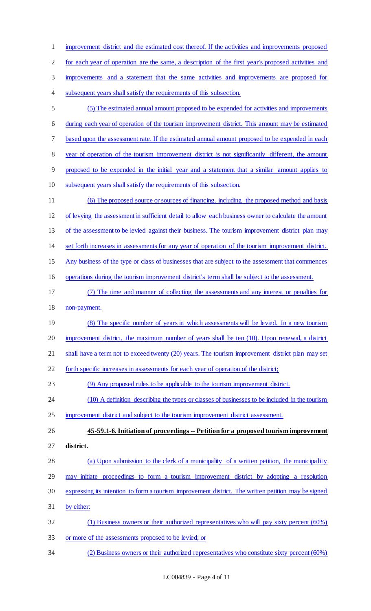improvement district and the estimated cost thereof. If the activities and improvements proposed for each year of operation are the same, a description of the first year's proposed activities and improvements and a statement that the same activities and improvements are proposed for subsequent years shall satisfy the requirements of this subsection. (5) The estimated annual amount proposed to be expended for activities and improvements during each year of operation of the tourism improvement district. This amount may be estimated based upon the assessment rate. If the estimated annual amount proposed to be expended in each year of operation of the tourism improvement district is not significantly different, the amount proposed to be expended in the initial year and a statement that a similar amount applies to subsequent years shall satisfy the requirements of this subsection. (6) The proposed source or sources of financing, including the proposed method and basis of levying the assessment in sufficient detail to allow each business owner to calculate the amount 13 of the assessment to be levied against their business. The tourism improvement district plan may set forth increases in assessments for any year of operation of the tourism improvement district. Any business of the type or class of businesses that are subject to the assessment that commences

operations during the tourism improvement district's term shall be subject to the assessment.

- (7) The time and manner of collecting the assessments and any interest or penalties for non-payment.
- 19 (8) The specific number of years in which assessments will be levied. In a new tourism

improvement district, the maximum number of years shall be ten (10). Upon renewal, a district

21 shall have a term not to exceed twenty (20) years. The tourism improvement district plan may set

forth specific increases in assessments for each year of operation of the district;

(9) Any proposed rules to be applicable to the tourism improvement district.

24 (10) A definition describing the types or classes of businesses to be included in the tourism

improvement district and subject to the tourism improvement district assessment.

 **45-59.1-6. Initiation of proceedings -- Petition for a proposed tourism improvement district.** 

- 28 (a) Upon submission to the clerk of a municipality of a written petition, the municipality may initiate proceedings to form a tourism improvement district by adopting a resolution
- expressing its intention to form a tourism improvement district. The written petition may be signed
- by either:
- (1) Business owners or their authorized representatives who will pay sixty percent (60%) or more of the assessments proposed to be levied; or
- (2) Business owners or their authorized representatives who constitute sixty percent (60%)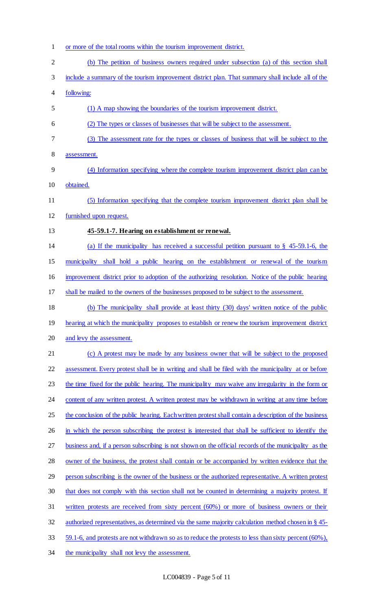- or more of the total rooms within the tourism improvement district. (b) The petition of business owners required under subsection (a) of this section shall
- include a summary of the tourism improvement district plan. That summary shall include all of the
- following:
- (1) A map showing the boundaries of the tourism improvement district.
- (2) The types or classes of businesses that will be subject to the assessment.
- (3) The assessment rate for the types or classes of business that will be subject to the
- assessment.
- (4) Information specifying where the complete tourism improvement district plan can be obtained.
- (5) Information specifying that the complete tourism improvement district plan shall be
- furnished upon request.
- **45-59.1-7. Hearing on establishment or renewal.**
- (a) If the municipality has received a successful petition pursuant to § 45-59.1-6, the

municipality shall hold a public hearing on the establishment or renewal of the tourism

improvement district prior to adoption of the authorizing resolution. Notice of the public hearing

shall be mailed to the owners of the businesses proposed to be subject to the assessment.

 (b) The municipality shall provide at least thirty (30) days' written notice of the public 19 hearing at which the municipality proposes to establish or renew the tourism improvement district and levy the assessment.

21 (c) A protest may be made by any business owner that will be subject to the proposed assessment. Every protest shall be in writing and shall be filed with the municipality at or before 23 the time fixed for the public hearing. The municipality may waive any irregularity in the form or 24 content of any written protest. A written protest may be withdrawn in writing at any time before 25 the conclusion of the public hearing. Each written protest shall contain a description of the business in which the person subscribing the protest is interested that shall be sufficient to identify the business and, if a person subscribing is not shown on the official records of the municipality as the 28 owner of the business, the protest shall contain or be accompanied by written evidence that the person subscribing is the owner of the business or the authorized representative. A written protest 30 that does not comply with this section shall not be counted in determining a majority protest. If written protests are received from sixty percent (60%) or more of business owners or their authorized representatives, as determined via the same majority calculation method chosen in § 45- 59.1-6, and protests are not withdrawn so as to reduce the protests to less than sixty percent (60%),

the municipality shall not levy the assessment.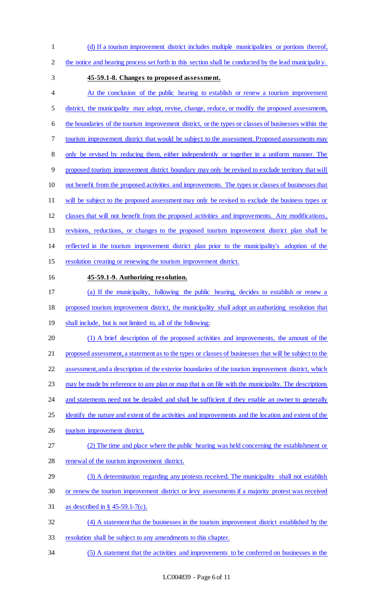- (d) If a tourism improvement district includes multiple municipalities or portions thereof,
- the notice and hearing process set forth in this section shall be conducted by the lead municipality.
- 
- **45-59.1-8. Changes to proposed assessment.**
- At the conclusion of the public hearing to establish or renew a tourism improvement 5 district, the municipality may adopt, revise, change, reduce, or modify the proposed assessments, the boundaries of the tourism improvement district, or the types or classes of businesses within the tourism improvement district that would be subject to the assessment. Proposed assessments may only be revised by reducing them, either independently or together in a uniform manner. The proposed tourism improvement district boundary may only be revised to exclude territory that will not benefit from the proposed activities and improvements. The types or classes of businesses that 11 will be subject to the proposed assessment may only be revised to exclude the business types or classes that will not benefit from the proposed activities and improvements. Any modifications, revisions, reductions, or changes to the proposed tourism improvement district plan shall be reflected in the tourism improvement district plan prior to the municipality's adoption of the resolution creating or renewing the tourism improvement district. **45-59.1-9. Authorizing resolution.**  (a) If the municipality, following the public hearing, decides to establish or renew a
- proposed tourism improvement district, the municipality shall adopt an authorizing resolution that
- shall include, but is not limited to, all of the following:
- (1) A brief description of the proposed activities and improvements, the amount of the 21 proposed assessment, a statement as to the types or classes of businesses that will be subject to the assessment, and a description of the exterior boundaries of the tourism improvement district, which
- 23 may be made by reference to any plan or map that is on file with the municipality. The descriptions
- 24 and statements need not be detailed and shall be sufficient if they enable an owner to generally
- 25 identify the nature and extent of the activities and improvements and the location and extent of the
- tourism improvement district.
- (2) The time and place where the public hearing was held concerning the establishment or 28 renewal of the tourism improvement district.
- (3) A determination regarding any protests received. The municipality shall not establish
- or renew the tourism improvement district or levy assessments if a majority protest was received
- as described in § 45-59.1-7(c).
- (4) A statement that the businesses in the tourism improvement district established by the
- resolution shall be subject to any amendments to this chapter.
- (5) A statement that the activities and improvements to be conferred on businesses in the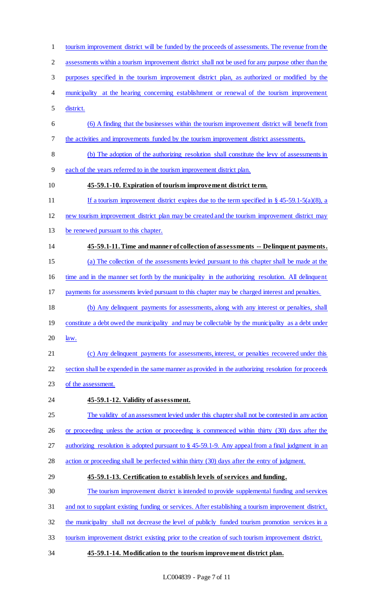assessments within a tourism improvement district shall not be used for any purpose other than the purposes specified in the tourism improvement district plan, as authorized or modified by the municipality at the hearing concerning establishment or renewal of the tourism improvement district. (6) A finding that the businesses within the tourism improvement district will benefit from the activities and improvements funded by the tourism improvement district assessments. (b) The adoption of the authorizing resolution shall constitute the levy of assessments in each of the years referred to in the tourism improvement district plan. **45-59.1-10. Expiration of tourism improvement district term.**  11 If a tourism improvement district expires due to the term specified in § 45-59.1-5(a)(8), a new tourism improvement district plan may be created and the tourism improvement district may be renewed pursuant to this chapter. **45-59.1-11. Time and manner of collection of assessments -- Delinquent payments.**  (a) The collection of the assessments levied pursuant to this chapter shall be made at the time and in the manner set forth by the municipality in the authorizing resolution. All delinquent payments for assessments levied pursuant to this chapter may be charged interest and penalties. (b) Any delinquent payments for assessments, along with any interest or penalties, shall 19 constitute a debt owed the municipality and may be collectable by the municipality as a debt under  $20 \frac{\text{law}}{\text{law}}$ . 21 (c) Any delinquent payments for assessments, interest, or penalties recovered under this section shall be expended in the same manner as provided in the authorizing resolution for proceeds 23 of the assessment. **45-59.1-12. Validity of assessment.**  The validity of an assessment levied under this chapter shall not be contested in any action or proceeding unless the action or proceeding is commenced within thirty (30) days after the authorizing resolution is adopted pursuant to § 45-59.1-9. Any appeal from a final judgment in an action or proceeding shall be perfected within thirty (30) days after the entry of judgment. **45-59.1-13. Certification to establish levels of services and funding.**  The tourism improvement district is intended to provide supplemental funding and services and not to supplant existing funding or services. After establishing a tourism improvement district, the municipality shall not decrease the level of publicly funded tourism promotion services in a tourism improvement district existing prior to the creation of such tourism improvement district. **45-59.1-14. Modification to the tourism improvement district plan.** 

tourism improvement district will be funded by the proceeds of assessments. The revenue from the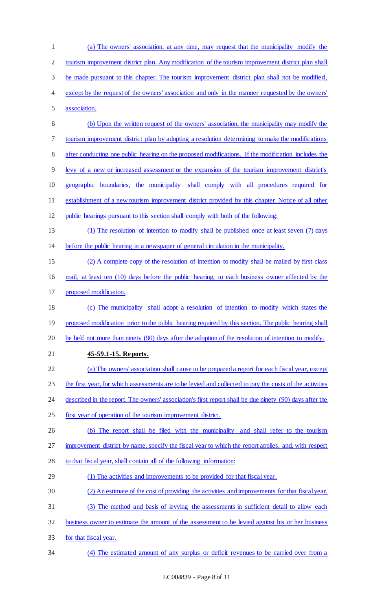| $\mathbf{1}$   | (a) The owners' association, at any time, may request that the municipality modify the                  |
|----------------|---------------------------------------------------------------------------------------------------------|
| $\overline{c}$ | tourism improvement district plan. Any modification of the tourism improvement district plan shall      |
| 3              | be made pursuant to this chapter. The tourism improvement district plan shall not be modified,          |
| 4              | except by the request of the owners' association and only in the manner requested by the owners'        |
| 5              | association.                                                                                            |
| 6              | (b) Upon the written request of the owners' association, the municipality may modify the                |
| 7              | tourism improvement district plan by adopting a resolution determining to make the modifications        |
| $8\,$          | after conducting one public hearing on the proposed modifications. If the modification includes the     |
| 9              | levy of a new or increased assessment or the expansion of the tourism improvement district's            |
| 10             | geographic boundaries, the municipality shall comply with all procedures required for                   |
| 11             | establishment of a new tourism improvement district provided by this chapter. Notice of all other       |
| 12             | public hearings pursuant to this section shall comply with both of the following:                       |
| 13             | (1) The resolution of intention to modify shall be published once at least seven (7) days               |
| 14             | before the public hearing in a newspaper of general circulation in the municipality.                    |
| 15             | (2) A complete copy of the resolution of intention to modify shall be mailed by first class             |
| 16             | mail, at least ten (10) days before the public hearing, to each business owner affected by the          |
| 17             | proposed modification.                                                                                  |
| 18             | (c) The municipality shall adopt a resolution of intention to modify which states the                   |
| 19             | proposed modification prior to the public hearing required by this section. The public hearing shall    |
| 20             | be held not more than ninety (90) days after the adoption of the resolution of intention to modify.     |
| 21             | 45-59.1-15. Reports.                                                                                    |
| 22             | (a) The owners' association shall cause to be prepared a report for each fiscal year, except            |
| 23             | the first year, for which assessments are to be levied and collected to pay the costs of the activities |
| 24             | described in the report. The owners' association's first report shall be due ninety (90) days after the |
| 25             | first year of operation of the tourism improvement district.                                            |
| 26             | (b) The report shall be filed with the municipality and shall refer to the tourism                      |
| 27             | improvement district by name, specify the fiscal year to which the report applies, and, with respect    |
| 28             | to that fiscal year, shall contain all of the following information:                                    |
| 29             | (1) The activities and improvements to be provided for that fiscal year.                                |
| 30             | (2) An estimate of the cost of providing the activities and improvements for that fiscal year.          |
| 31             | (3) The method and basis of levying the assessments in sufficient detail to allow each                  |
| 32             | business owner to estimate the amount of the assessment to be levied against his or her business        |
| 33             | for that fiscal year.                                                                                   |
| 34             | (4) The estimated amount of any surplus or deficit revenues to be carried over from a                   |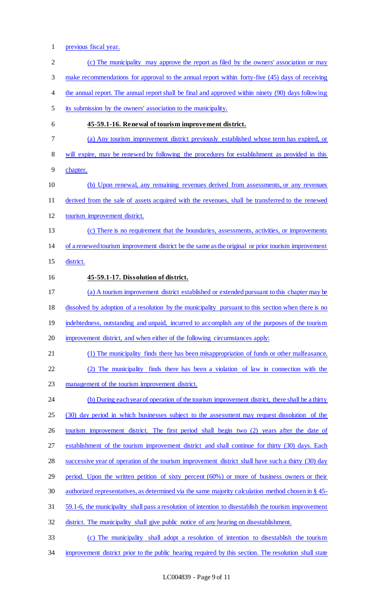- previous fiscal year. 2 (c) The municipality may approve the report as filed by the owners' association or may 3 make recommendations for approval to the annual report within forty-five (45) days of receiving 4 the annual report. The annual report shall be final and approved within ninety (90) days following its submission by the owners' association to the municipality. **45-59.1-16. Renewal of tourism improvement district.**  (a) Any tourism improvement district previously established whose term has expired, or will expire, may be renewed by following the procedures for establishment as provided in this chapter. (b) Upon renewal, any remaining revenues derived from assessments, or any revenues derived from the sale of assets acquired with the revenues, shall be transferred to the renewed tourism improvement district. (c) There is no requirement that the boundaries, assessments, activities, or improvements of a renewed tourism improvement district be the same as the original or prior tourism improvement district. **45-59.1-17. Dissolution of district.**  (a) A tourism improvement district established or extended pursuant to this chapter may be dissolved by adoption of a resolution by the municipality pursuant to this section when there is no 19 indebtedness, outstanding and unpaid, incurred to accomplish any of the purposes of the tourism improvement district, and when either of the following circumstances apply: (1) The municipality finds there has been misappropriation of funds or other malfeasance. (2) The municipality finds there has been a violation of law in connection with the management of the tourism improvement district. 24 (b) During each year of operation of the tourism improvement district, there shall be a thirty (30) day period in which businesses subject to the assessment may request dissolution of the 26 tourism improvement district. The first period shall begin two (2) years after the date of establishment of the tourism improvement district and shall continue for thirty (30) days. Each 28 successive year of operation of the tourism improvement district shall have such a thirty (30) day period. Upon the written petition of sixty percent (60%) or more of business owners or their authorized representatives, as determined via the same majority calculation method chosen in § 45- 59.1-6, the municipality shall pass a resolution of intention to disestablish the tourism improvement district. The municipality shall give public notice of any hearing on disestablishment. (c) The municipality shall adopt a resolution of intention to disestablish the tourism
	- improvement district prior to the public hearing required by this section. The resolution shall state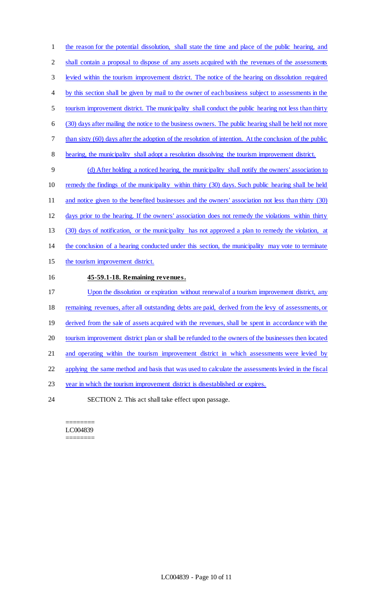the reason for the potential dissolution, shall state the time and place of the public hearing, and shall contain a proposal to dispose of any assets acquired with the revenues of the assessments levied within the tourism improvement district. The notice of the hearing on dissolution required 4 by this section shall be given by mail to the owner of each business subject to assessments in the tourism improvement district. The municipality shall conduct the public hearing not less than thirty (30) days after mailing the notice to the business owners. The public hearing shall be held not more 7 than sixty (60) days after the adoption of the resolution of intention. At the conclusion of the public hearing, the municipality shall adopt a resolution dissolving the tourism improvement district. (d) After holding a noticed hearing, the municipality shall notify the owners' association to remedy the findings of the municipality within thirty (30) days. Such public hearing shall be held 11 and notice given to the benefited businesses and the owners' association not less than thirty (30) days prior to the hearing. If the owners' association does not remedy the violations within thirty (30) days of notification, or the municipality has not approved a plan to remedy the violation, at the conclusion of a hearing conducted under this section, the municipality may vote to terminate the tourism improvement district. **45-59.1-18. Remaining revenues.**  17 Upon the dissolution or expiration without renewal of a tourism improvement district, any remaining revenues, after all outstanding debts are paid, derived from the levy of assessments, or 19 derived from the sale of assets acquired with the revenues, shall be spent in accordance with the tourism improvement district plan or shall be refunded to the owners of the businesses then located 21 and operating within the tourism improvement district in which assessments were levied by applying the same method and basis that was used to calculate the assessments levied in the fiscal year in which the tourism improvement district is disestablished or expires. SECTION 2. This act shall take effect upon passage.

======== LC004839 ========